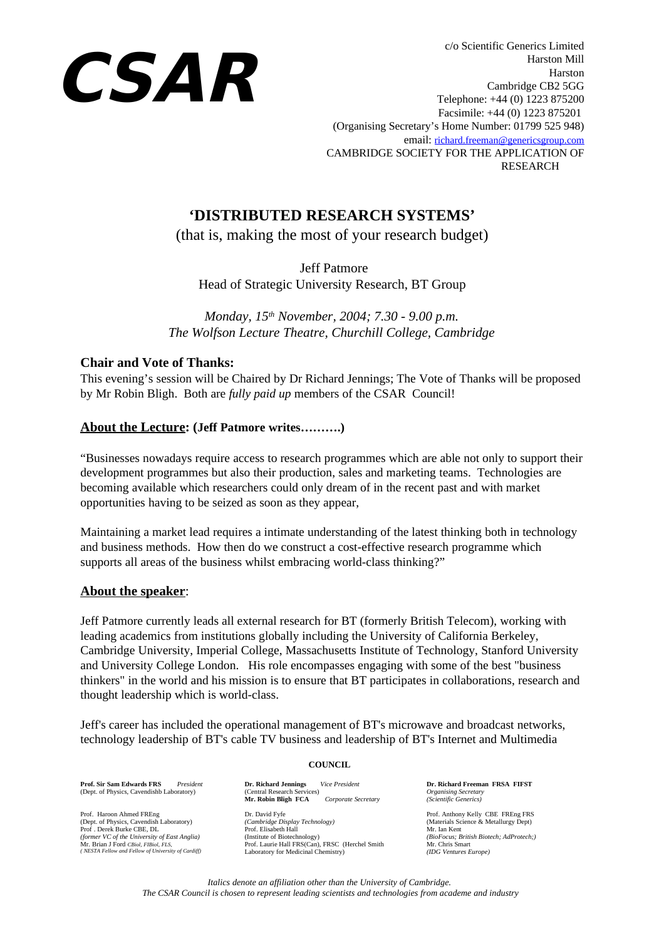

c/o Scientific Generics Limited Harston Mill Harston Cambridge CB2 5GG Telephone: +44 (0) 1223 875200 Facsimile: +44 (0) 1223 875201 (Organising Secretary's Home Number: 01799 525 948) email: [richard.freeman@genericsgroup.com](mailto:rfreeman@genericsgroup.com) CAMBRIDGE SOCIETY FOR THE APPLICATION OF RESEARCH

# **'DISTRIBUTED RESEARCH SYSTEMS'**

(that is, making the most of your research budget)

Jeff Patmore

Head of Strategic University Research, BT Group

*Monday, 15th November, 2004; 7.30 - 9.00 p.m. The Wolfson Lecture Theatre, Churchill College, Cambridge*

## **Chair and Vote of Thanks:**

This evening's session will be Chaired by Dr Richard Jennings; The Vote of Thanks will be proposed by Mr Robin Bligh. Both are *fully paid up* members of the CSAR Council!

## **About the Lecture: (Jeff Patmore writes……….)**

"Businesses nowadays require access to research programmes which are able not only to support their development programmes but also their production, sales and marketing teams. Technologies are becoming available which researchers could only dream of in the recent past and with market opportunities having to be seized as soon as they appear,

Maintaining a market lead requires a intimate understanding of the latest thinking both in technology and business methods. How then do we construct a cost-effective research programme which supports all areas of the business whilst embracing world-class thinking?"

## **About the speaker**:

Jeff Patmore currently leads all external research for BT (formerly British Telecom), working with leading academics from institutions globally including the University of California Berkeley, Cambridge University, Imperial College, Massachusetts Institute of Technology, Stanford University and University College London. His role encompasses engaging with some of the best "business thinkers" in the world and his mission is to ensure that BT participates in collaborations, research and thought leadership which is world-class.

Jeff's career has included the operational management of BT's microwave and broadcast networks, technology leadership of BT's cable TV business and leadership of BT's Internet and Multimedia

#### **COUNCIL**

**Prof. Sir Sam Edwards FRS** *President* (Dept. of Physics, Cavendishb Laboratory)

Prof. Haroon Ahmed FREng (Dept. of Physics, Cavendish Laboratory) Prof . Derek Burke CBE, DL *(former VC of the University of East Anglia)* Mr. Brian J Ford *CBiol, FIBiol, FLS, ( NESTA Fellow and Fellow of University of Cardiff)*

**Dr. Richard Jennings** *Vice President* (Central Research Services) **Mr. Robin Bligh FCA** *Corporate Secretary* Dr. David Fyfe

*(Cambridge Display Technology)* Prof. Elisabeth Hall (Institute of Biotechnology) Prof. Laurie Hall FRS(Can), FRSC (Herchel Smith Laboratory for Medicinal Chemistry) **Dr. Richard Freeman FRSA FIFST**  *Organising Secretary (Scientific Generics)*

Prof. Anthony Kelly CBE FREng FRS (Materials Science & Metallurgy Dept) Mr. Ian Kent *(BioFocus; British Biotech; AdProtech;)* Mr. Chris Smart *(IDG Ventures Europe)*